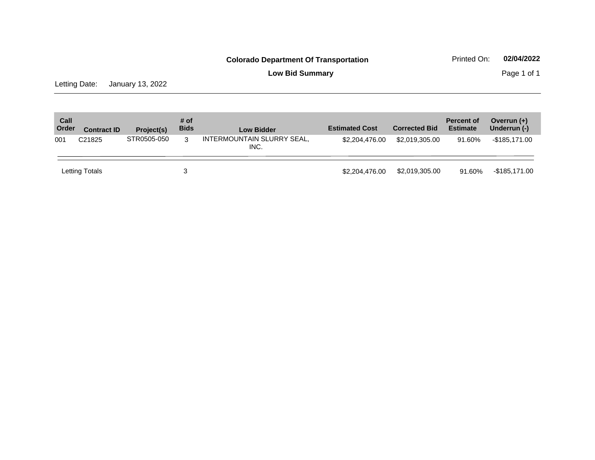**Low Bid Summary Page 1 of 1** 

Letting Date: January 13, 2022

| Call<br>Order | <b>Contract ID</b> | Project(s)  | # of<br><b>Bids</b> | <b>Low Bidder</b>                  | <b>Estimated Cost</b> | <b>Corrected Bid</b> | <b>Percent of</b><br><b>Estimate</b> | Overrun $(+)$<br>Underrun (-) |
|---------------|--------------------|-------------|---------------------|------------------------------------|-----------------------|----------------------|--------------------------------------|-------------------------------|
| 001           | C <sub>21825</sub> | STR0505-050 | 3                   | INTERMOUNTAIN SLURRY SEAL,<br>INC. | \$2,204,476,00        | \$2,019,305,00       | 91.60%                               | -\$185,171.00                 |
|               | Letting Totals     |             | 3                   |                                    | \$2,204,476,00        | \$2,019,305.00       | 91.60%                               | -\$185,171.00                 |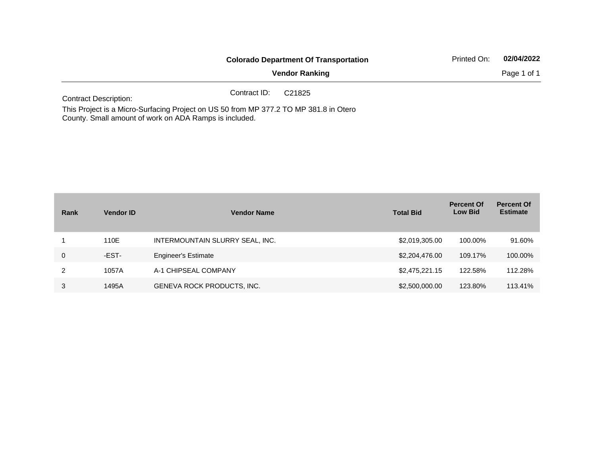|                                                                                       | <b>Colorado Department Of Transportation</b> | Printed On:           | 02/04/2022 |             |
|---------------------------------------------------------------------------------------|----------------------------------------------|-----------------------|------------|-------------|
|                                                                                       |                                              | <b>Vendor Ranking</b> |            | Page 1 of 1 |
| <b>Contract Description:</b>                                                          | Contract ID:                                 | C21825                |            |             |
| This Desired is a Missa Quebector Desired on HO FO from MD 077 0 TO MD 004 0 in Otros |                                              |                       |            |             |

This Project is a Micro-Surfacing Project on US 50 from MP 377.2 TO MP 381.8 in Otero County. Small amount of work on ADA Ramps is included.

| Rank        | <b>Vendor ID</b> | <b>Vendor Name</b>                | <b>Total Bid</b> | <b>Percent Of</b><br><b>Low Bid</b> | <b>Percent Of</b><br><b>Estimate</b> |
|-------------|------------------|-----------------------------------|------------------|-------------------------------------|--------------------------------------|
|             | 110E             | INTERMOUNTAIN SLURRY SEAL, INC.   | \$2,019,305.00   | 100.00%                             | 91.60%                               |
| $\mathbf 0$ | -EST-            | <b>Engineer's Estimate</b>        | \$2,204,476.00   | 109.17%                             | 100.00%                              |
| 2           | 1057A            | A-1 CHIPSEAL COMPANY              | \$2,475,221.15   | 122.58%                             | 112.28%                              |
| 3           | 1495A            | <b>GENEVA ROCK PRODUCTS, INC.</b> | \$2,500,000.00   | 123.80%                             | 113.41%                              |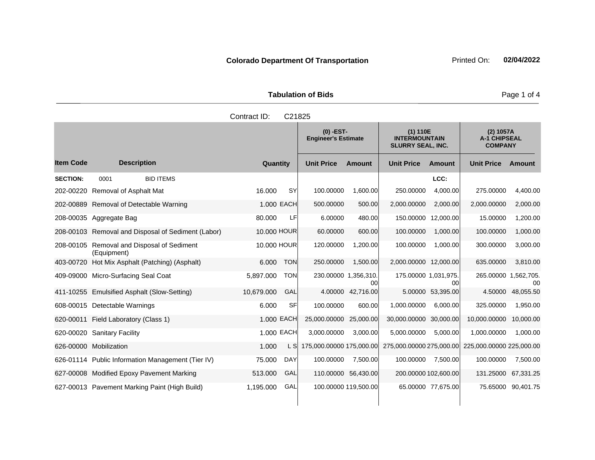| <b>Tabulation of Bids</b> |  |  |  |  |  |
|---------------------------|--|--|--|--|--|
| Contract ID: C21825       |  |  |  |  |  |

|                  |                                                    |             |            | $(0)$ -EST-<br><b>Engineer's Estimate</b> |                      | (1) 110E<br><b>INTERMOUNTAIN</b><br><b>SLURRY SEAL, INC.</b> |                    | $(2)$ 1057A<br><b>A-1 CHIPSEAL</b><br><b>COMPANY</b> |                    |
|------------------|----------------------------------------------------|-------------|------------|-------------------------------------------|----------------------|--------------------------------------------------------------|--------------------|------------------------------------------------------|--------------------|
| <b>Item Code</b> | <b>Description</b>                                 | Quantity    |            | <b>Unit Price</b>                         | <b>Amount</b>        | <b>Unit Price</b>                                            | Amount             | <b>Unit Price</b>                                    | Amount             |
| <b>SECTION:</b>  | <b>BID ITEMS</b><br>0001                           |             |            |                                           |                      |                                                              | LCC:               |                                                      |                    |
| 202-00220        | Removal of Asphalt Mat                             | 16.000      | <b>SY</b>  | 100.00000                                 | 1.600.00             | 250,00000                                                    | 4.000.00           | 275.00000                                            | 4,400.00           |
| 202-00889        | Removal of Detectable Warning                      |             | 1.000 EACH | 500.00000                                 | 500.00               | 2,000.00000                                                  | 2,000.00           | 2,000.00000                                          | 2,000.00           |
|                  | 208-00035 Aggregate Bag                            | 80,000      | LF         | 6.00000                                   | 480.00               | 150.00000                                                    | 12,000.00          | 15.00000                                             | 1,200.00           |
|                  | 208-00103 Removal and Disposal of Sediment (Labor) | 10,000 HOUR |            | 60.00000                                  | 600.00               | 100.00000                                                    | 1.000.00           | 100.00000                                            | 1,000.00           |
| 208-00105        | Removal and Disposal of Sediment<br>(Equipment)    | 10,000 HOUR |            | 120.00000                                 | 1,200.00             | 100.00000                                                    | 1.000.00           | 300.00000                                            | 3,000.00           |
| 403-00720        | Hot Mix Asphalt (Patching) (Asphalt)               | 6.000       | <b>TON</b> | 250,00000                                 | 1.500.00             | 2,000.00000                                                  | 12,000,00          | 635.00000                                            | 3,810.00           |
| 409-09000        | Micro-Surfacing Seal Coat                          | 5.897.000   | <b>TON</b> | 230.00000 1,356,310.                      | 00                   | 175.00000 1,031,975.                                         | 00                 | 265.00000 1,562,705.                                 | 00                 |
|                  | 411-10255 Emulsified Asphalt (Slow-Setting)        | 10,679.000  | GAL        | 4.00000                                   | 42,716.00            |                                                              | 5.00000 53,395.00  | 4.50000                                              | 48,055.50          |
| 608-00015        | Detectable Warnings                                | 6.000       | <b>SF</b>  | 100.00000                                 | 600.00               | 1,000.00000                                                  | 6.000.00           | 325.00000                                            | 1,950.00           |
| 620-00011        | Field Laboratory (Class 1)                         | 1.000 EACH  |            | 25,000.00000                              | 25,000.00            | 30,000.00000                                                 | 30,000.00          | 10,000.00000                                         | 10.000.00          |
| 620-00020        | <b>Sanitary Facility</b>                           |             | 1,000 EACH | 3,000.00000                               | 3,000.00             | 5,000.00000                                                  | 5,000.00           | 1,000.00000                                          | 1,000.00           |
|                  | 626-00000 Mobilization                             | 1.000       | L SI       | 175,000.00000 175,000.00                  |                      | 275,000.00000 275,000.00                                     |                    | 225,000.00000 225,000.00                             |                    |
|                  | 626-01114 Public Information Management (Tier IV)  | 75.000      | <b>DAY</b> | 100.00000                                 | 7,500.00             | 100.00000                                                    | 7,500.00           | 100.00000                                            | 7,500.00           |
|                  | 627-00008 Modified Epoxy Pavement Marking          | 513.000     | GAL        | 110.00000                                 | 56.430.00            | 200.00000 102,600.00                                         |                    | 131.25000                                            | 67,331.25          |
|                  | 627-00013 Pavement Marking Paint (High Build)      | 1,195.000   | GAL        |                                           | 100.00000 119,500.00 |                                                              | 65.00000 77,675.00 |                                                      | 75.65000 90.401.75 |

Page 1 of 4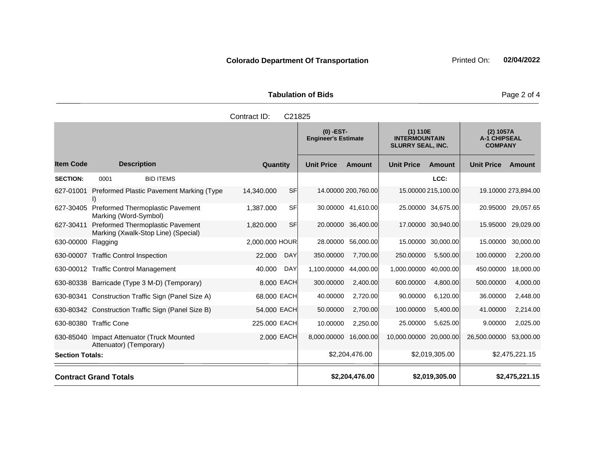| <b>Tabulation of Bids</b> |                   |          |  |  |  |  |
|---------------------------|-------------------|----------|--|--|--|--|
| Contract ID: C21825       |                   |          |  |  |  |  |
|                           | $\cdots$ $\cdots$ | $\cdots$ |  |  |  |  |

**Quantity Unit Price Unit Price Item Code Amount Unit Price Amount Ext Ext Unit Price Amount Ext (0) -EST-Engineer's Estimate (1) 110E INTERMOUNTAIN SLURRY SEAL, INC. (2) 1057A A-1 CHIPSEAL COMPANY Description SECTION:** 0001 BID ITEMS **LCC:** 627-01001 Preformed Plastic Pavement Marking (Type I) 14,340.000 SF 14.00000 200,760.00 15.00000 215,100.00 19.10000 273,894.00 627-30405 Preformed Thermoplastic Pavement Marking (Word-Symbol) 1,387.000 SF 30.00000 41,610.00 25.00000 34,675.00 20.95000 29,057.65 627-30411 Preformed Thermoplastic Pavement Marking (Xwalk-Stop Line) (Special) 1,820.000 SF 20.00000 36,400.00 17.00000 30,940.00 15.95000 29,029.00 630-00000 Flagging 2,000.000 HOUR 28.00000 56,000.00 15.00000 30,000.00 15.00000 30,000.00 630-00007 Traffic Control Inspection 22.000 DAY 350.00000 7,700.00 250.00000 5,500.00 100.00000 2,200.00 630-00012 Traffic Control Management 40.000 DAY 1,100.00000 44,000.00 1,000.00000 40,000.00 450.00000 18,000.00 630-80338 Barricade (Type 3 M-D) (Temporary) 8.000 EACH 300.00000 2,400.00 600.00000 4,800.00 500.00000 4,000.00 630-80341 Construction Traffic Sign (Panel Size A) 68.000 EACH 40.00000 2,720.00 90.00000 6,120.00 36.00000 2,448.00 630-80342 Construction Traffic Sign (Panel Size B) 54.000 EACH 50.00000 2,700.00 100.00000 5,400.00 41.00000 2,214.00 630-80380 Traffic Cone 225.000 EACH 10.00000 2,250.00 25.00000 5,625.00 9.00000 2,025.00 630-85040 Impact Attenuator (Truck Mounted Attenuator) (Temporary) 2.000 EACH 8,000.00000 16,000.00 10,000.00000 20,000.00 26,500.00000 53,000.00 **Section Totals:** \$2,204,476.00 \$2,019,305.00 \$2,475,221.15 **Contract Grand Totals \$2,204,476.00 \$2,019,305.00 \$2,475,221.15**

Page 2 of 4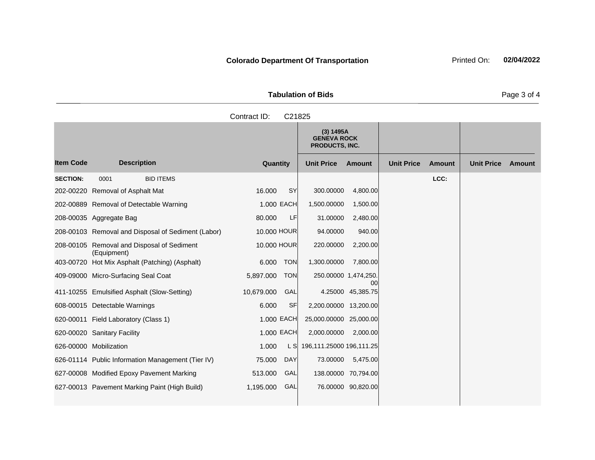| <b>Tabulation of Bids</b> |                                                          |  |  |  |  |  |  |
|---------------------------|----------------------------------------------------------|--|--|--|--|--|--|
| Contract ID: C21825       |                                                          |  |  |  |  |  |  |
|                           | (3) 1495A<br><b>GENEVA ROCK</b><br><b>PRODUCTS, INC.</b> |  |  |  |  |  |  |

|                  |                                                           |             |            | הסטדו נשן<br><b>GENEVA ROCK</b><br>PRODUCTS, INC. |                            |                   |               |                   |        |
|------------------|-----------------------------------------------------------|-------------|------------|---------------------------------------------------|----------------------------|-------------------|---------------|-------------------|--------|
| <b>Item Code</b> | <b>Description</b>                                        | Quantity    |            | <b>Unit Price</b>                                 | Amount                     | <b>Unit Price</b> | <b>Amount</b> | <b>Unit Price</b> | Amount |
| <b>SECTION:</b>  | 0001<br><b>BID ITEMS</b>                                  |             |            |                                                   |                            |                   | LCC:          |                   |        |
|                  | 202-00220 Removal of Asphalt Mat                          | 16.000      | SY         | 300.00000                                         | 4,800.00                   |                   |               |                   |        |
|                  | 202-00889 Removal of Detectable Warning                   | 1,000 EACH  |            | 1,500.00000                                       | 1,500.00                   |                   |               |                   |        |
|                  | 208-00035 Aggregate Bag                                   | 80.000      | LF         | 31.00000                                          | 2,480.00                   |                   |               |                   |        |
|                  | 208-00103 Removal and Disposal of Sediment (Labor)        | 10.000 HOUR |            | 94.00000                                          | 940.00                     |                   |               |                   |        |
|                  | 208-00105 Removal and Disposal of Sediment<br>(Equipment) | 10.000 HOUR |            | 220.00000                                         | 2,200.00                   |                   |               |                   |        |
| 403-00720        | Hot Mix Asphalt (Patching) (Asphalt)                      | 6.000       | <b>TON</b> | 1,300.00000                                       | 7,800.00                   |                   |               |                   |        |
|                  | 409-09000 Micro-Surfacing Seal Coat                       | 5,897.000   | <b>TON</b> |                                                   | 250.00000 1,474,250.<br>00 |                   |               |                   |        |
|                  | 411-10255 Emulsified Asphalt (Slow-Setting)               | 10,679.000  | <b>GAL</b> |                                                   | 4.25000 45,385.75          |                   |               |                   |        |
|                  | 608-00015 Detectable Warnings                             | 6.000       | <b>SF</b>  | 2,200.00000 13,200.00                             |                            |                   |               |                   |        |
|                  | 620-00011 Field Laboratory (Class 1)                      | 1,000 EACH  |            | 25,000.00000 25,000.00                            |                            |                   |               |                   |        |
|                  | 620-00020 Sanitary Facility                               | 1.000 EACH  |            | 2,000.00000                                       | 2,000.00                   |                   |               |                   |        |
|                  | 626-00000 Mobilization                                    | 1.000       | L S        | 196,111.25000 196,111.25                          |                            |                   |               |                   |        |
|                  | 626-01114 Public Information Management (Tier IV)         | 75.000      | <b>DAY</b> | 73.00000                                          | 5,475.00                   |                   |               |                   |        |
|                  | 627-00008 Modified Epoxy Pavement Marking                 | 513.000     | <b>GAL</b> |                                                   | 138.00000 70,794.00        |                   |               |                   |        |
|                  | 627-00013 Pavement Marking Paint (High Build)             | 1,195.000   | GAL        |                                                   | 76.00000 90,820.00         |                   |               |                   |        |

Page 3 of 4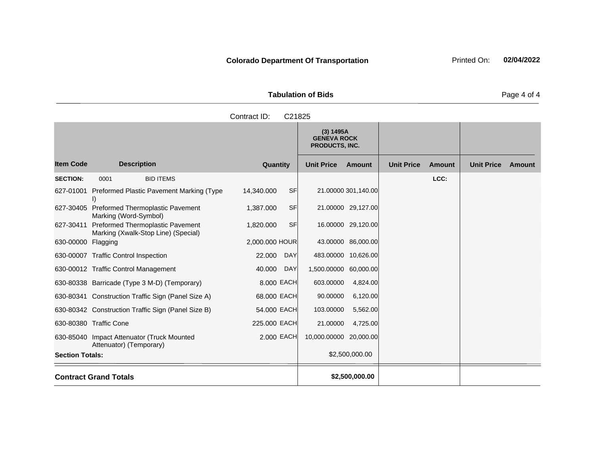| <b>Tabulation of Bids</b> |  |
|---------------------------|--|

|                        |                                                                         | Contract ID:<br>C21825  |                                                          |                                    |                             |
|------------------------|-------------------------------------------------------------------------|-------------------------|----------------------------------------------------------|------------------------------------|-----------------------------|
|                        |                                                                         |                         | (3) 1495A<br><b>GENEVA ROCK</b><br><b>PRODUCTS, INC.</b> |                                    |                             |
| <b>Item Code</b>       | <b>Description</b>                                                      | Quantity                | <b>Unit Price</b><br><b>Amount</b>                       | <b>Unit Price</b><br><b>Amount</b> | <b>Unit Price</b><br>Amount |
| <b>SECTION:</b>        | <b>BID ITEMS</b><br>0001                                                |                         |                                                          | LCC:                               |                             |
| 627-01001              | Preformed Plastic Pavement Marking (Type<br>$\mathsf{I}$                | 14,340.000<br><b>SF</b> | 21.00000 301,140.00                                      |                                    |                             |
| 627-30405              | <b>Preformed Thermoplastic Pavement</b><br>Marking (Word-Symbol)        | <b>SF</b><br>1,387.000  | 21.00000 29,127.00                                       |                                    |                             |
| 627-30411              | Preformed Thermoplastic Pavement<br>Marking (Xwalk-Stop Line) (Special) | <b>SF</b><br>1,820.000  | 16.00000 29,120.00                                       |                                    |                             |
| 630-00000 Flagging     |                                                                         | 2,000.000 HOUR          | 43.00000 86,000.00                                       |                                    |                             |
|                        | 630-00007 Traffic Control Inspection                                    | DAY<br>22.000           | 483.00000 10,626.00                                      |                                    |                             |
|                        | 630-00012 Traffic Control Management                                    | 40.000<br><b>DAY</b>    | 1,500.00000 60,000.00                                    |                                    |                             |
|                        | 630-80338 Barricade (Type 3 M-D) (Temporary)                            | 8.000 EACH              | 603.00000<br>4,824.00                                    |                                    |                             |
|                        | 630-80341 Construction Traffic Sign (Panel Size A)                      | 68.000 EACH             | 90.00000<br>6,120.00                                     |                                    |                             |
|                        | 630-80342 Construction Traffic Sign (Panel Size B)                      | 54.000 EACH             | 103.00000<br>5,562.00                                    |                                    |                             |
|                        | 630-80380 Traffic Cone                                                  | 225.000 EACH            | 21.00000<br>4,725.00                                     |                                    |                             |
|                        | 630-85040 Impact Attenuator (Truck Mounted<br>Attenuator) (Temporary)   | 2.000 EACH              | 10,000.00000 20,000.00                                   |                                    |                             |
| <b>Section Totals:</b> |                                                                         |                         | \$2,500,000.00                                           |                                    |                             |
|                        | <b>Contract Grand Totals</b>                                            |                         | \$2,500,000.00                                           |                                    |                             |

Page 4 of 4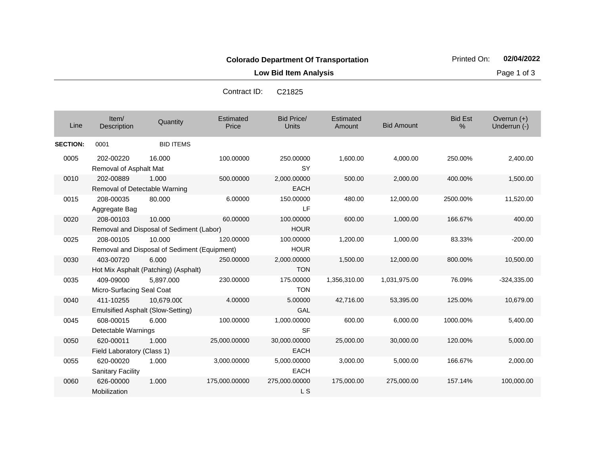**Low Bid Item Analysis Page 1 of 3** 

|                 |                                          |                                              | Conitact ID.       | <b>UZ 1020</b>                    |                     |                   |                                 |                               |
|-----------------|------------------------------------------|----------------------------------------------|--------------------|-----------------------------------|---------------------|-------------------|---------------------------------|-------------------------------|
| Line            | Item/<br>Description                     | Quantity                                     | Estimated<br>Price | <b>Bid Price/</b><br><b>Units</b> | Estimated<br>Amount | <b>Bid Amount</b> | <b>Bid Est</b><br>$\frac{0}{0}$ | Overrun $(+)$<br>Underrun (-) |
| <b>SECTION:</b> | 0001                                     | <b>BID ITEMS</b>                             |                    |                                   |                     |                   |                                 |                               |
| 0005            | 202-00220                                | 16.000                                       | 100.00000          | 250.00000                         | 1,600.00            | 4,000.00          | 250.00%                         | 2,400.00                      |
|                 | Removal of Asphalt Mat                   |                                              |                    | <b>SY</b>                         |                     |                   |                                 |                               |
| 0010            | 202-00889                                | 1.000                                        | 500.00000          | 2,000.00000                       | 500.00              | 2,000.00          | 400.00%                         | 1,500.00                      |
|                 | Removal of Detectable Warning            |                                              |                    | <b>EACH</b>                       |                     |                   |                                 |                               |
| 0015            | 208-00035                                | 80.000                                       | 6.00000            | 150.00000                         | 480.00              | 12,000.00         | 2500.00%                        | 11,520.00                     |
|                 | Aggregate Bag                            |                                              |                    | LF.                               |                     |                   |                                 |                               |
| 0020            | 208-00103                                | 10.000                                       | 60.00000           | 100.00000                         | 600.00              | 1,000.00          | 166.67%                         | 400.00                        |
|                 |                                          | Removal and Disposal of Sediment (Labor)     |                    | <b>HOUR</b>                       |                     |                   |                                 |                               |
| 0025            | 208-00105                                | 10.000                                       | 120.00000          | 100.00000                         | 1,200.00            | 1,000.00          | 83.33%                          | $-200.00$                     |
|                 |                                          | Removal and Disposal of Sediment (Equipment) |                    | <b>HOUR</b>                       |                     |                   |                                 |                               |
| 0030            | 403-00720                                | 6.000                                        | 250.00000          | 2,000.00000                       | 1,500.00            | 12,000.00         | 800.00%                         | 10,500.00                     |
|                 |                                          | Hot Mix Asphalt (Patching) (Asphalt)         |                    | <b>TON</b>                        |                     |                   |                                 |                               |
| 0035            | 409-09000                                | 5,897.000                                    | 230.00000          | 175.00000                         | 1,356,310.00        | 1,031,975.00      | 76.09%                          | $-324,335.00$                 |
|                 | Micro-Surfacing Seal Coat                |                                              |                    | <b>TON</b>                        |                     |                   |                                 |                               |
| 0040            | 411-10255                                | 10,679.000                                   | 4.00000            | 5.00000                           | 42,716.00           | 53,395.00         | 125.00%                         | 10,679.00                     |
|                 | <b>Emulsified Asphalt (Slow-Setting)</b> |                                              |                    | GAL                               |                     |                   |                                 |                               |
| 0045            | 608-00015                                | 6.000                                        | 100.00000          | 1,000.00000                       | 600.00              | 6,000.00          | 1000.00%                        | 5,400.00                      |
|                 | Detectable Warnings                      |                                              |                    | <b>SF</b>                         |                     |                   |                                 |                               |
| 0050            | 620-00011                                | 1.000                                        | 25,000.00000       | 30,000.00000                      | 25,000.00           | 30,000.00         | 120.00%                         | 5,000.00                      |
|                 | Field Laboratory (Class 1)               |                                              |                    | <b>EACH</b>                       |                     |                   |                                 |                               |
| 0055            | 620-00020                                | 1.000                                        | 3,000.00000        | 5,000.00000                       | 3,000.00            | 5,000.00          | 166.67%                         | 2,000.00                      |
|                 | <b>Sanitary Facility</b>                 |                                              |                    | <b>EACH</b>                       |                     |                   |                                 |                               |
| 0060            | 626-00000                                | 1.000                                        | 175,000.00000      | 275,000.00000                     | 175,000.00          | 275,000.00        | 157.14%                         | 100,000.00                    |
|                 | Mobilization                             |                                              |                    | L S                               |                     |                   |                                 |                               |

Contract ID: C21825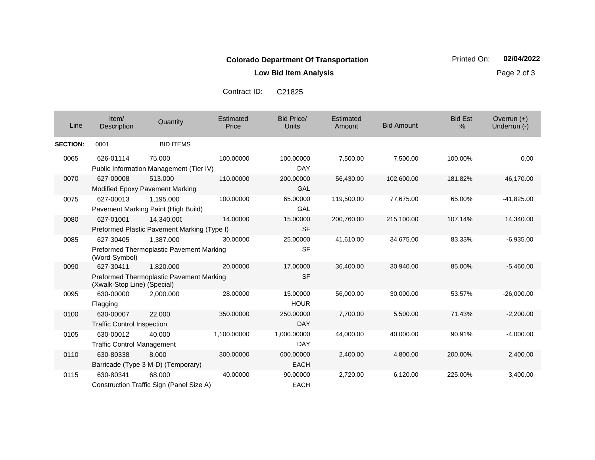**Low Bid Item Analysis Page 2 of 3** 

| Line            | Item/<br>Description                           | Quantity                                                     | Estimated<br>Price | <b>Bid Price/</b><br><b>Units</b> | Estimated<br>Amount | <b>Bid Amount</b> | <b>Bid Est</b><br>$\%$ | Overrun $(+)$<br>Underrun (-) |
|-----------------|------------------------------------------------|--------------------------------------------------------------|--------------------|-----------------------------------|---------------------|-------------------|------------------------|-------------------------------|
| <b>SECTION:</b> | 0001                                           | <b>BID ITEMS</b>                                             |                    |                                   |                     |                   |                        |                               |
| 0065            | 626-01114                                      | 75.000<br>Public Information Management (Tier IV)            | 100.00000          | 100.00000<br><b>DAY</b>           | 7,500.00            | 7,500.00          | 100.00%                | 0.00                          |
| 0070            | 627-00008                                      | 513.000<br>Modified Epoxy Pavement Marking                   | 110.00000          | 200.00000<br><b>GAL</b>           | 56,430.00           | 102,600.00        | 181.82%                | 46,170.00                     |
| 0075            | 627-00013                                      | 1,195.000<br>Pavement Marking Paint (High Build)             | 100.00000          | 65.00000<br>GAL                   | 119,500.00          | 77,675.00         | 65.00%                 | $-41,825.00$                  |
| 0080            | 627-01001                                      | 14.340.000<br>Preformed Plastic Pavement Marking (Type I)    | 14.00000           | 15.00000<br><b>SF</b>             | 200,760.00          | 215,100.00        | 107.14%                | 14,340.00                     |
| 0085            | 627-30405<br>(Word-Symbol)                     | 1.387.000<br>Preformed Thermoplastic Pavement Marking        | 30.00000           | 25.00000<br><b>SF</b>             | 41,610.00           | 34,675.00         | 83.33%                 | $-6,935.00$                   |
| 0090            | 627-30411<br>(Xwalk-Stop Line) (Special)       | 1,820.000<br><b>Preformed Thermoplastic Pavement Marking</b> | 20.00000           | 17.00000<br><b>SF</b>             | 36,400.00           | 30,940.00         | 85.00%                 | $-5,460.00$                   |
| 0095            | 630-00000<br>Flagging                          | 2,000.000                                                    | 28.00000           | 15.00000<br><b>HOUR</b>           | 56,000.00           | 30,000.00         | 53.57%                 | $-26,000.00$                  |
| 0100            | 630-00007<br><b>Traffic Control Inspection</b> | 22,000                                                       | 350.00000          | 250.00000<br><b>DAY</b>           | 7,700.00            | 5,500.00          | 71.43%                 | $-2,200.00$                   |
| 0105            | 630-00012<br><b>Traffic Control Management</b> | 40.000                                                       | 1,100.00000        | 1,000.00000<br>DAY                | 44,000.00           | 40,000.00         | 90.91%                 | $-4,000.00$                   |
| 0110            | 630-80338                                      | 8.000<br>Barricade (Type 3 M-D) (Temporary)                  | 300.00000          | 600.00000<br><b>EACH</b>          | 2,400.00            | 4,800.00          | 200.00%                | 2,400.00                      |
| 0115            | 630-80341                                      | 68.000<br>Construction Traffic Sign (Panel Size A)           | 40.00000           | 90.00000<br><b>EACH</b>           | 2,720.00            | 6,120.00          | 225.00%                | 3,400.00                      |